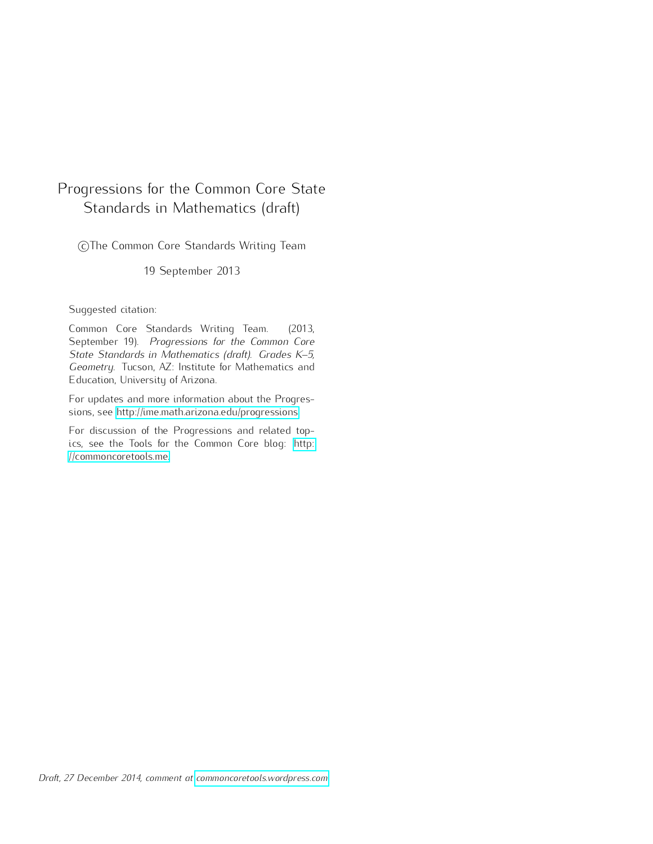# <span id="page-0-0"></span>Progressions for the Common Core State Standards in Mathematics (draft)

CThe Common Core Standards Writing Team

19 September 2013

### Suggested citation:

Common Core Standards Writing Team. (2013, September 19). *Progressions for the Common Core State Standards in Mathematics (draft). Grades K–5, Geometry.* Tucson, AZ: Institute for Mathematics and Education, University of Arizona.

For updates and more information about the Progressions, see [http://ime.math.arizona.edu/progressions.](http://ime.math.arizona.edu/progressions)

For discussion of the Progressions and related topics, see the Tools for the Common Core blog: [http:](http://commoncoretools.me) [//commoncoretools.me.](http://commoncoretools.me)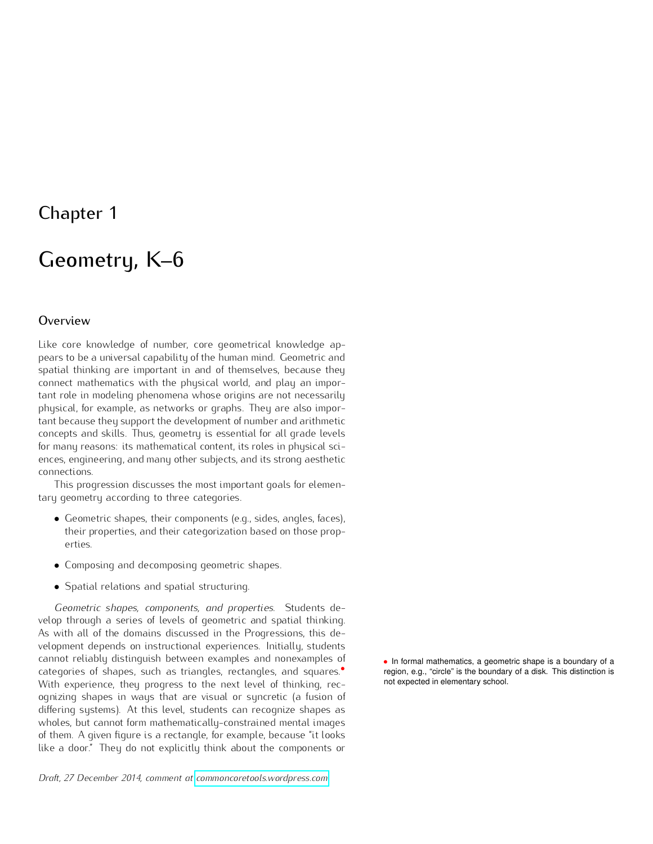# Chapter 1

# Geometry, K–6

### <span id="page-1-0"></span>**Overview**

Like core knowledge of number, core geometrical knowledge appears to be a universal capability of the human mind. Geometric and spatial thinking are important in and of themselves, because they connect mathematics with the physical world, and play an important role in modeling phenomena whose origins are not necessarily physical, for example, as networks or graphs. They are also important because they support the development of number and arithmetic concepts and skills. Thus, geometry is essential for all grade levels for many reasons: its mathematical content, its roles in physical sciences, engineering, and many other subjects, and its strong aesthetic connections.

This progression discusses the most important goals for elementary geometry according to three categories.

- *•* Geometric shapes, their components (e.g., sides, angles, faces), their properties, and their categorization based on those properties.
- *•* Composing and decomposing geometric shapes.
- *•* Spatial relations and spatial structuring.

*Geometric shapes, components, and properties*. Students develop through a series of levels of geometric and spatial thinking. As with all of the domains discussed in the Progressions, this development depends on instructional experiences. Initially, students cannot reliably distinguish between examples and nonexamples of categories of shapes, such as triangles, rectangles, and squares.*•* With experience, they progress to the next level of thinking, recognizing shapes in ways that are visual or syncretic (a fusion of differing systems). At this level, students can recognize shapes as wholes, but cannot form mathematically-constrained mental images of them. A given figure is a rectangle, for example, because "it looks like a door." They do not explicitly think about the components or

*•* In formal mathematics, a geometric shape is a boundary of a region, e.g., "circle" is the boundary of a disk. This distinction is not expected in elementary school.

*Draft, 27 December 2014, comment at [commoncoretools.wordpress.com.](commoncoretools.wordpress.com)*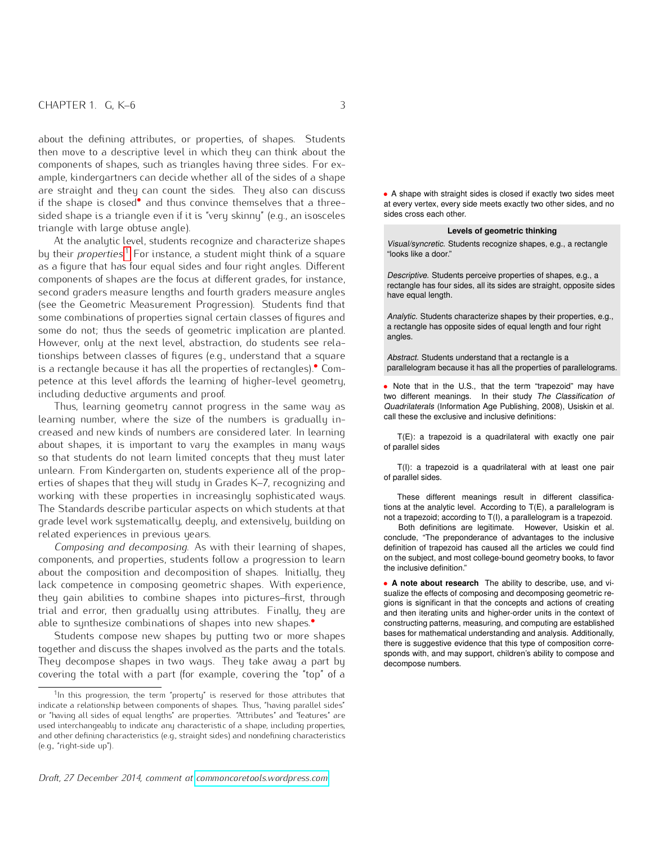about the defining attributes, or properties, of shapes. Students then move to a descriptive level in which they can think about the components of shapes, such as triangles having three sides. For example, kindergartners can decide whether all of the sides of a shape are straight and they can count the sides. They also can discuss if the shape is closed*•* and thus convince themselves that a three sided shape is a triangle even if it is "very skinny" (e.g., an isosceles sides cross each other. triangle with large obtuse angle).

At the analytic level, students recognize and characterize shapes by their *properties*. [1](#page-2-0) For instance, a student might think of a square as a figure that has four equal sides and four right angles. Different components of shapes are the focus at different grades, for instance, second graders measure lengths and fourth graders measure angles (see the Geometric Measurement Progression). Students find that some combinations of properties signal certain classes of figures and some do not; thus the seeds of geometric implication are planted. However, only at the next level, abstraction, do students see relationships between classes of figures (e.g., understand that a square is a rectangle because it has all the properties of rectangles).*•* Com petence at this level affords the learning of higher-level geometry, including deductive arguments and proof.

Thus, learning geometry cannot progress in the same way as learning number, where the size of the numbers is gradually increased and new kinds of numbers are considered later. In learning about shapes, it is important to vary the examples in many ways so that students do not learn limited concepts that they must later unlearn. From Kindergarten on, students experience all of the properties of shapes that they will study in Grades K–7, recognizing and working with these properties in increasingly sophisticated ways. The Standards describe particular aspects on which students at that grade level work systematically, deeply, and extensively, building on related experiences in previous years.

*Composing and decomposing*. As with their learning of shapes, components, and properties, students follow a progression to learn about the composition and decomposition of shapes. Initially, they lack competence in composing geometric shapes. With experience, they gain abilities to combine shapes into pictures–first, through trial and error, then gradually using attributes. Finally, they are able to synthesize combinations of shapes into new shapes.*•*

Students compose new shapes by putting two or more shapes together and discuss the shapes involved as the parts and the totals. They decompose shapes in two ways. They take away a part by covering the total with a part (for example, covering the "top" of a *•* A shape with straight sides is closed if exactly two sides meet at every vertex, every side meets exactly two other sides, and no

#### **Levels of geometric thinking**

Visual/syncretic. Students recognize shapes, e.g., a rectangle "looks like a door."

Descriptive. Students perceive properties of shapes, e.g., a rectangle has four sides, all its sides are straight, opposite sides have equal length.

Analytic. Students characterize shapes by their properties, e.g., a rectangle has opposite sides of equal length and four right angles.

Abstract. Students understand that a rectangle is a parallelogram because it has all the properties of parallelograms.

• Note that in the U.S., that the term "trapezoid" may have two different meanings. In their study The Classification of Quadrilaterals (Information Age Publishing, 2008), Usiskin et al. call these the exclusive and inclusive definitions:

T(E): a trapezoid is a quadrilateral with exactly one pair of parallel sides

T(I): a trapezoid is a quadrilateral with at least one pair of parallel sides.

These different meanings result in different classifications at the analytic level. According to T(E), a parallelogram is not a trapezoid; according to T(I), a parallelogram is a trapezoid.

Both definitions are legitimate. However, Usiskin et al. conclude, "The preponderance of advantages to the inclusive definition of trapezoid has caused all the articles we could find on the subject, and most college-bound geometry books, to favor the inclusive definition."

*•* **A note about research** The ability to describe, use, and visualize the effects of composing and decomposing geometric regions is significant in that the concepts and actions of creating and then iterating units and higher-order units in the context of constructing patterns, measuring, and computing are established bases for mathematical understanding and analysis. Additionally, there is suggestive evidence that this type of composition corresponds with, and may support, children's ability to compose and decompose numbers.

<span id="page-2-0"></span><sup>&</sup>lt;sup>1</sup>In this progression, the term "property" is reserved for those attributes that indicate a relationship between components of shapes. Thus, "having parallel sides" or "having all sides of equal lengths" are properties. "Attributes" and "features" are used interchangeably to indicate any characteristic of a shape, including properties, and other defining characteristics (e.g., straight sides) and nondefining characteristics (e.g., "right-side up").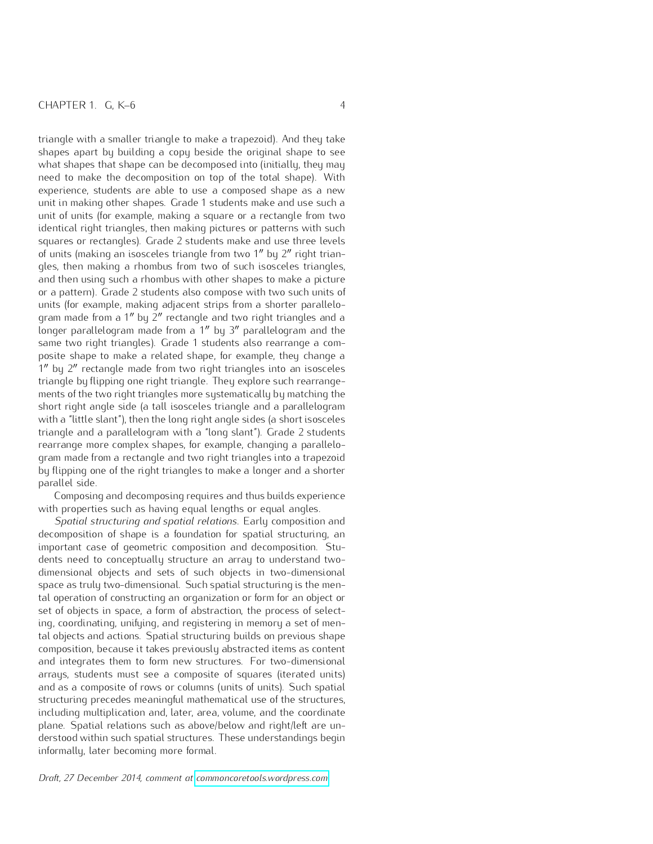triangle with a smaller triangle to make a trapezoid). And they take shapes apart by building a copy beside the original shape to see what shapes that shape can be decomposed into (initially, they may need to make the decomposition on top of the total shape). With experience, students are able to use a composed shape as a new unit in making other shapes. Grade 1 students make and use such a unit of units (for example, making a square or a rectangle from two identical right triangles, then making pictures or patterns with such squares or rectangles). Grade 2 students make and use three levels of units (making an isosceles triangle from two 1" by 2" right triangles, then making a rhombus from two of such isosceles triangles, and then using such a rhombus with other shapes to make a picture or a pattern). Grade 2 students also compose with two such units of units (for example, making adjacent strips from a shorter parallelogram made from a 1" by 2" rectangle and two right triangles and a longer parallelogram made from a  $1''$  by  $3''$  parallelogram and the same two right triangles). Grade 1 students also rearrange a composite shape to make a related shape, for example, they change a 1" by 2" rectangle made from two right triangles into an isosceles triangle by flipping one right triangle. They explore such rearrangements of the two right triangles more systematically by matching the short right angle side (a tall isosceles triangle and a parallelogram with a "little slant"), then the long right angle sides (a short isosceles triangle and a parallelogram with a "long slant"). Grade 2 students rearrange more complex shapes, for example, changing a parallelogram made from a rectangle and two right triangles into a trapezoid by flipping one of the right triangles to make a longer and a shorter parallel side.

Composing and decomposing requires and thus builds experience with properties such as having equal lengths or equal angles.

*Spatial structuring and spatial relations*. Early composition and decomposition of shape is a foundation for spatial structuring, an important case of geometric composition and decomposition. Students need to conceptually structure an array to understand twodimensional objects and sets of such objects in two-dimensional space as truly two-dimensional. Such spatial structuring is the mental operation of constructing an organization or form for an object or set of objects in space, a form of abstraction, the process of selecting, coordinating, unifying, and registering in memory a set of mental objects and actions. Spatial structuring builds on previous shape composition, because it takes previously abstracted items as content and integrates them to form new structures. For two-dimensional arrays, students must see a composite of squares (iterated units) and as a composite of rows or columns (units of units). Such spatial structuring precedes meaningful mathematical use of the structures, including multiplication and, later, area, volume, and the coordinate plane. Spatial relations such as above/below and right/left are understood within such spatial structures. These understandings begin informally, later becoming more formal.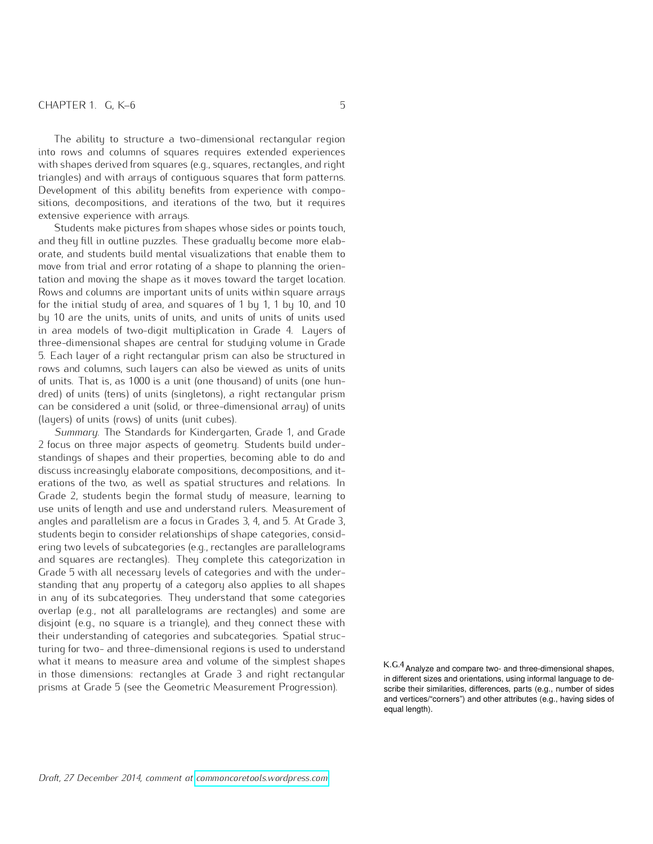The ability to structure a two-dimensional rectangular region into rows and columns of squares requires extended experiences with shapes derived from squares (e.g., squares, rectangles, and right triangles) and with arrays of contiguous squares that form patterns. Development of this ability benefits from experience with compositions, decompositions, and iterations of the two, but it requires extensive experience with arrays.

Students make pictures from shapes whose sides or points touch, and they fill in outline puzzles. These gradually become more elaborate, and students build mental visualizations that enable them to move from trial and error rotating of a shape to planning the orientation and moving the shape as it moves toward the target location. Rows and columns are important units of units within square arrays for the initial study of area, and squares of 1 by 1, 1 by 10, and 10 by 10 are the units, units of units, and units of units of units used in area models of two-digit multiplication in Grade 4. Layers of three-dimensional shapes are central for studying volume in Grade 5. Each layer of a right rectangular prism can also be structured in rows and columns, such layers can also be viewed as units of units of units. That is, as 1000 is a unit (one thousand) of units (one hundred) of units (tens) of units (singletons), a right rectangular prism can be considered a unit (solid, or three-dimensional array) of units (layers) of units (rows) of units (unit cubes).

*Summary*. The Standards for Kindergarten, Grade 1, and Grade 2 focus on three major aspects of geometry. Students build understandings of shapes and their properties, becoming able to do and discuss increasingly elaborate compositions, decompositions, and iterations of the two, as well as spatial structures and relations. In Grade 2, students begin the formal study of measure, learning to use units of length and use and understand rulers. Measurement of angles and parallelism are a focus in Grades 3, 4, and 5. At Grade 3, students begin to consider relationships of shape categories, considering two levels of subcategories (e.g., rectangles are parallelograms and squares are rectangles). They complete this categorization in Grade 5 with all necessary levels of categories and with the understanding that any property of a category also applies to all shapes in any of its subcategories. They understand that some categories overlap (e.g., not all parallelograms are rectangles) and some are disjoint (e.g., no square is a triangle), and they connect these with their understanding of categories and subcategories. Spatial structuring for two- and three-dimensional regions is used to understand what it means to measure area and volume of the simplest shapes in those dimensions: rectangles at Grade 3 and right rectangular prisms at Grade 5 (see the Geometric Measurement Progression).

K.G.4Analyze and compare two- and three-dimensional shapes, in different sizes and orientations, using informal language to describe their similarities, differences, parts (e.g., number of sides and vertices/"corners") and other attributes (e.g., having sides of equal length).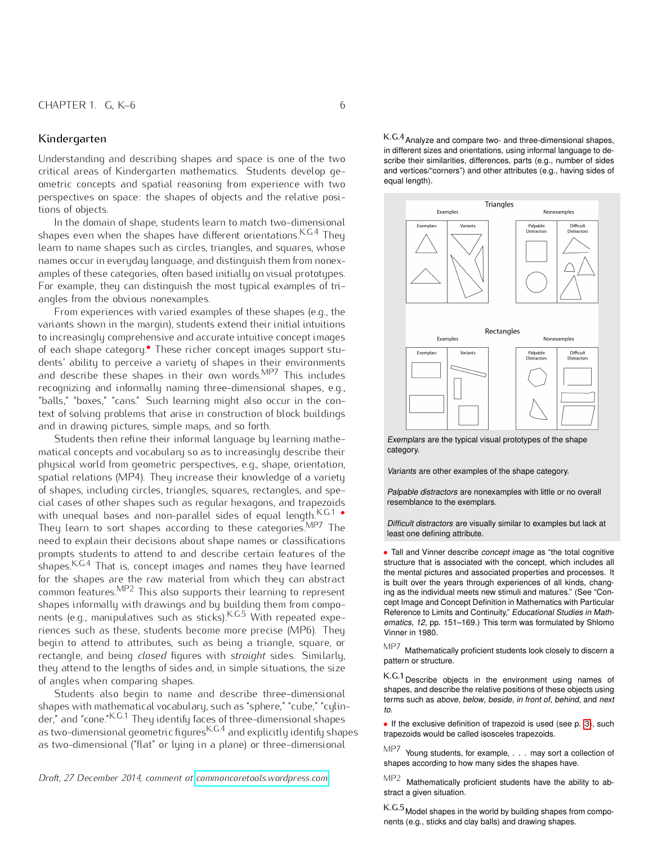### <span id="page-5-0"></span>Kindergarten

Understanding and describing shapes and space is one of the two critical areas of Kindergarten mathematics. Students develop geometric concepts and spatial reasoning from experience with two perspectives on space: the shapes of objects and the relative positions of objects.

In the domain of shape, students learn to match two-dimensional shapes even when the shapes have different orientations.  $K.G.4$  They learn to name shapes such as circles, triangles, and squares, whose names occur in everyday language, and distinguish them from nonexamples of these categories, often based initially on visual prototypes. For example, they can distinguish the most typical examples of triangles from the obvious nonexamples.

From experiences with varied examples of these shapes (e.g., the variants shown in the margin), students extend their initial intuitions to increasingly comprehensive and accurate intuitive concept images of each shape category.*•* These richer concept images support stu dents' ability to perceive a variety of shapes in their environments and describe these shapes in their own words.<sup>MP7</sup> This includes recognizing and informally naming three-dimensional shapes, e.g., "balls," "boxes," "cans." Such learning might also occur in the context of solving problems that arise in construction of block buildings and in drawing pictures, simple maps, and so forth.

Students then refine their informal language by learning mathematical concepts and vocabulary so as to increasingly describe their physical world from geometric perspectives, e.g., shape, orientation, spatial relations (MP4). They increase their knowledge of a variety of shapes, including circles, triangles, squares, rectangles, and special cases of other shapes such as regular hexagons, and trapezoids with unequal bases and non-parallel sides of equal length.<sup>K.G.1</sup> • They learn to sort shapes according to these categories.MP7 The need to explain their decisions about shape names or classifications prompts students to attend to and describe certain features of the shapes.<sup>K.G.4</sup> That is, concept images and names they have learned for the shapes are the raw material from which they can abstract common features.<sup>MP2</sup> This also supports their learning to represent shapes informally with drawings and by building them from components (e.g., manipulatives such as sticks).<sup>K.G.5</sup> With repeated experiences such as these, students become more precise (MP6). They begin to attend to attributes, such as being a triangle, square, or rectangle, and being *closed* figures with *straight* sides. Similarly, they attend to the lengths of sides and, in simple situations, the size of angles when comparing shapes.

Students also begin to name and describe three-dimensional shapes with mathematical vocabulary, such as "sphere," "cube," "cylinder," and "cone."K.G.1 They identify faces of three-dimensional shapes  $\frac{1}{2}$  as two-dimensional geometric figures  $K.G.A$  and explicitly identify shapes as two-dimensional ("flat" or lying in a plane) or three-dimensional

*Draft, 27 December 2014, comment at [commoncoretools.wordpress.com.](commoncoretools.wordpress.com)*

K.G.4Analyze and compare two- and three-dimensional shapes, in different sizes and orientations, using informal language to describe their similarities, differences, parts (e.g., number of sides and vertices/"corners") and other attributes (e.g., having sides of equal length).



Exemplars are the typical visual prototypes of the shape category.

Variants are other examples of the shape category.

Palpable distractors are nonexamples with little or no overall resemblance to the exemplars.

Difficult distractors are visually similar to examples but lack at least one defining attribute.

*•* Tall and Vinner describe concept image as "the total cognitive structure that is associated with the concept, which includes all the mental pictures and associated properties and processes. It is built over the years through experiences of all kinds, changing as the individual meets new stimuli and matures." (See "Concept Image and Concept Definition in Mathematics with Particular Reference to Limits and Continuity," Educational Studies in Mathematics, 12, pp. 151–169.) This term was formulated by Shlomo Vinner in 1980.

MP7 Mathematically proficient students look closely to discern a pattern or structure.

K.G.1Describe objects in the environment using names of shapes, and describe the relative positions of these objects using terms such as above, below, beside, in front of, behind, and next to.

• If the exclusive definition of trapezoid is used (see p. [3\)](#page-1-0), such trapezoids would be called isosceles trapezoids.

 $M$ P7 Young students, for example,  $\dots$  may sort a collection of shapes according to how many sides the shapes have.

MP2 Mathematically proficient students have the ability to abstract a given situation.

K.G.5<sub>Model</sub> shapes in the world by building shapes from components (e.g., sticks and clay balls) and drawing shapes.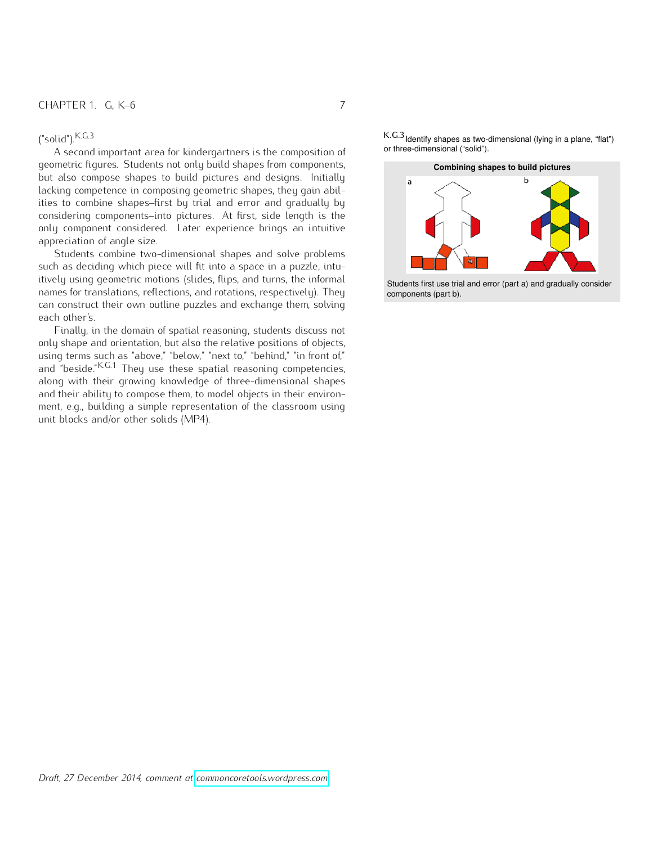A second important area for kindergartners is the composition of geometric figures. Students not only build shapes from components, **Combining shapes to build pictures** but also compose shapes to build pictures and designs. Initially lacking competence in composing geometric shapes, they gain abilities to combine shapes–first by trial and error and gradually by considering components–into pictures. At first, side length is the only component considered. Later experience brings an intuitive appreciation of angle size.

Students combine two-dimensional shapes and solve problems such as deciding which piece will fit into a space in a puzzle, intuitively using geometric motions (slides, flips, and turns, the informal names for translations, reflections, and rotations, respectively). They can construct their own outline puzzles and exchange them, solving each other's.

Finally, in the domain of spatial reasoning, students discuss not only shape and orientation, but also the relative positions of objects, using terms such as "above," "below," "next to," "behind," "in front of," and "beside."<sup>K.G.1</sup> They use these spatial reasoning competencies, along with their growing knowledge of three-dimensional shapes and their ability to compose them, to model objects in their environment, e.g., building a simple representation of the classroom using unit blocks and/or other solids (MP4).

 $K.G.3$ <br>K.G.3 **K.G.3** K.G.3 **K.G.3** K.G.3 **K.G.3 K.G.3 K.G.3 K.G.3 K.G.3 K.G.3 K.G.3 K.G.3 K.G.3 COM COM COM COM COM COM COM COM COM COM COM COM COM COM COM COM COM COM**



Students first use trial and error (part a) and gradually consider components (part b).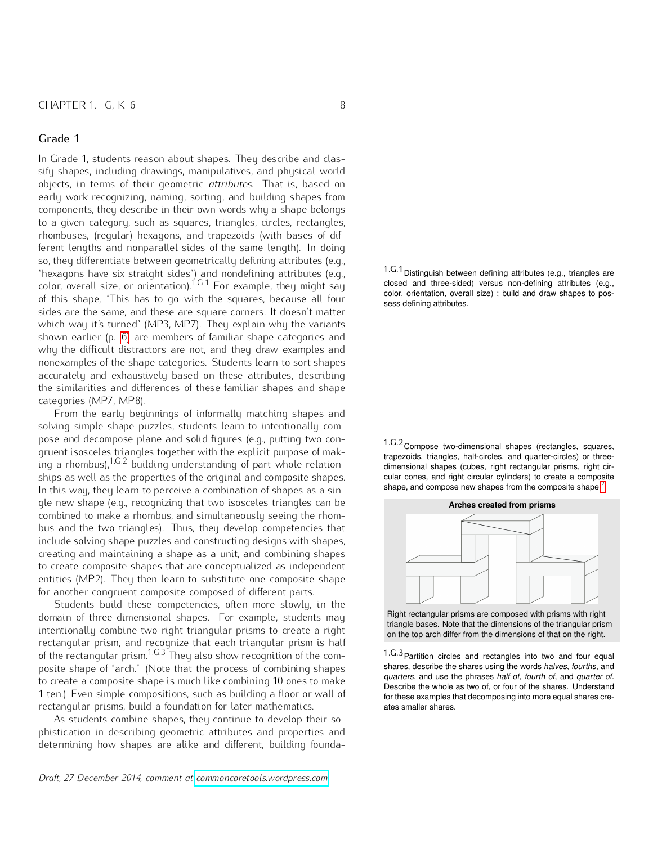In Grade 1, students reason about shapes. They describe and classify shapes, including drawings, manipulatives, and physical-world objects, in terms of their geometric *attributes*. That is, based on early work recognizing, naming, sorting, and building shapes from components, they describe in their own words why a shape belongs to a given category, such as squares, triangles, circles, rectangles, rhombuses, (regular) hexagons, and trapezoids (with bases of different lengths and nonparallel sides of the same length). In doing so, they differentiate between geometrically defining attributes (e.g., "hexagons have six straight sides") and nondefining attributes (e.g., color, overall size, or orientation).<sup>1.G.1</sup> For example, they might say of this shape, "This has to go with the squares, because all four sess defining attributes. sides are the same, and these are square corners. It doesn't matter which way it's turned" (MP3, MP7). They explain why the variants shown earlier (p. [6\)](#page-5-0) are members of familiar shape categories and why the difficult distractors are not, and they draw examples and nonexamples of the shape categories. Students learn to sort shapes accurately and exhaustively based on these attributes, describing the similarities and differences of these familiar shapes and shape categories (MP7, MP8).

From the early beginnings of informally matching shapes and solving simple shape puzzles, students learn to intentionally compose and decompose plane and solid figures (e.g., putting two congruent isosceles triangles together with the explicit purpose of mak- $\frac{5}{100}$  a rhombus),  $1.6.2$  building understanding of part-whole relationships as well as the properties of the original and composite shapes. In this way, they learn to perceive a combination of shapes as a single new shape (e.g., recognizing that two isosceles triangles can be combined to make a rhombus, and simultaneously seeing the rhombus and the two triangles). Thus, they develop competencies that include solving shape puzzles and constructing designs with shapes, creating and maintaining a shape as a unit, and combining shapes to create composite shapes that are conceptualized as independent entities (MP2). They then learn to substitute one composite shape for another congruent composite composed of different parts.

Students build these competencies, often more slowly, in the domain of three-dimensional shapes. For example, students may intentionally combine two right triangular prisms to create a right rectangular prism, and recognize that each triangular prism is half of the rectangular prism.<sup>1.G.3</sup> They also show recognition of the com- 1.G.3 Partition circles and rectangles into two and four equal posite shape of "arch." (Note that the process of combining shapes to create a composite shape is much like combining 10 ones to make 1 ten.) Even simple compositions, such as building a floor or wall of rectangular prisms, build a foundation for later mathematics.

As students combine shapes, they continue to develop their sophistication in describing geometric attributes and properties and determining how shapes are alike and different, building founda1.G.1Distinguish between defining attributes (e.g., triangles are closed and three-sided) versus non-defining attributes (e.g., color, orientation, overall size) ; build and draw shapes to pos-

1.G.2Compose two-dimensional shapes (rectangles, squares, trapezoids, triangles, half-circles, and quarter-circles) or threedimensional shapes (cubes, right rectangular prisms, right circular cones, and right circular cylinders) to create a composite shape, and compose new shapes from the composite shape.<sup>[2](#page-0-0)</sup>



Right rectangular prisms are composed with prisms with right triangle bases. Note that the dimensions of the triangular prism on the top arch differ from the dimensions of that on the right.

shares, describe the shares using the words halves, fourths, and quarters, and use the phrases half of, fourth of, and quarter of. Describe the whole as two of, or four of the shares. Understand for these examples that decomposing into more equal shares creates smaller shares.

*Draft, 27 December 2014, comment at [commoncoretools.wordpress.com.](commoncoretools.wordpress.com)*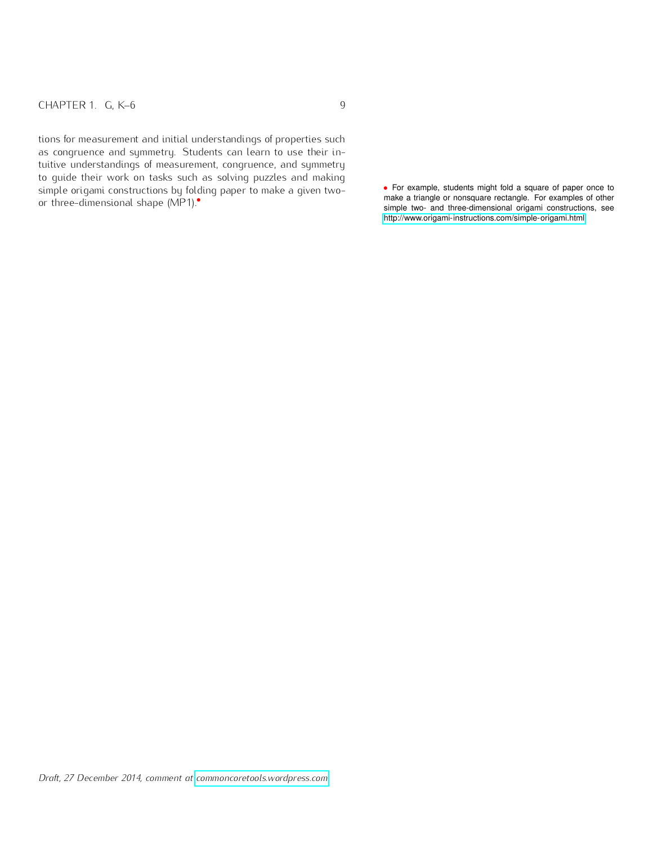tions for measurement and initial understandings of properties such as congruence and symmetry. Students can learn to use their intuitive understandings of measurement, congruence, and symmetry to guide their work on tasks such as solving puzzles and making simple origami constructions by folding paper to make a given twoor three-dimensional shape (MP1).*•*

*•* For example, students might fold a square of paper once to make a triangle or nonsquare rectangle. For examples of other simple two- and three-dimensional origami constructions, see [http://www.origami-instructions.com/simple-origami.html.](http://www.origami-instructions.com/simple-origami.html)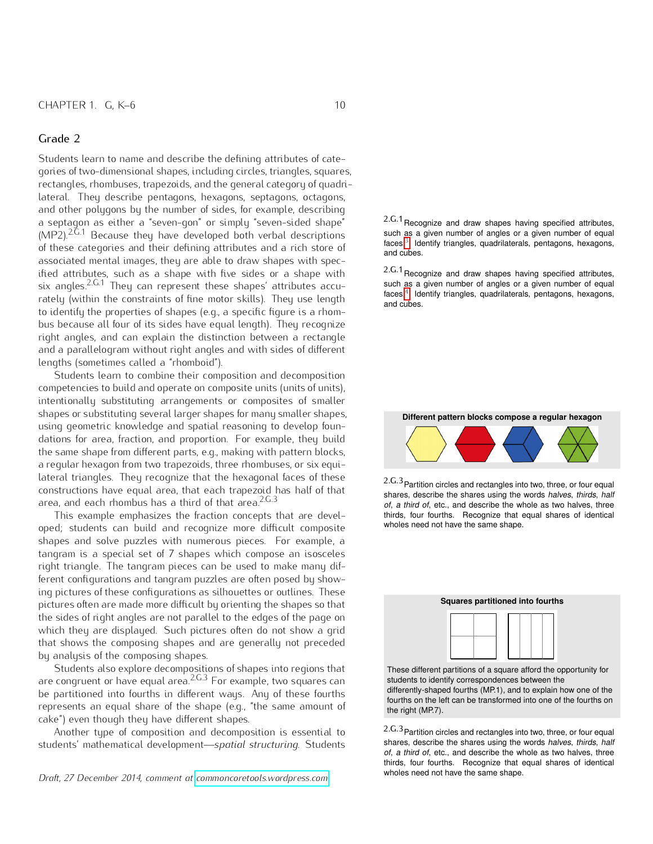<span id="page-9-0"></span>Students learn to name and describe the defining attributes of categories of two-dimensional shapes, including circles, triangles, squares, rectangles, rhombuses, trapezoids, and the general category of quadrilateral. They describe pentagons, hexagons, septagons, octagons, and other polygons by the number of sides, for example, describing a septagon as either a "seven-gon" or simply "seven-sided shape"  $(MP2).^{2.6.1}$  Because they have developed both verbal descriptions of these categories and their defining attributes and a rich store of and cubes.<sup>3</sup> los associated mental images, they are able to draw shapes with specified attributes, such as a shape with five sides or a shape with six angles.<sup>2.G.1</sup> They can represent these shapes' attributes accurately (within the constraints of fine motor skills). They use length  $\frac{\text{faces.}}{\text{and cubes}}$ to identify the properties of shapes (e.g., a specific figure is a rhombus because all four of its sides have equal length). They recognize right angles, and can explain the distinction between a rectangle and a parallelogram without right angles and with sides of different lengths (sometimes called a "rhomboid").

Students learn to combine their composition and decomposition competencies to build and operate on composite units (units of units), intentionally substituting arrangements or composites of smaller shapes or substituting several larger shapes for many smaller shapes, using geometric knowledge and spatial reasoning to develop foundations for area, fraction, and proportion. For example, they build the same shape from different parts, e.g., making with pattern blocks, a regular hexagon from two trapezoids, three rhombuses, or six equilateral triangles. They recognize that the hexagonal faces of these constructions have equal area, that each trapezoid has half of that area, and each rhombus has a third of that area. $2C.3$ 

This example emphasizes the fraction concepts that are developed; students can build and recognize more difficult composite shapes and solve puzzles with numerous pieces. For example, a tangram is a special set of 7 shapes which compose an isosceles right triangle. The tangram pieces can be used to make many different configurations and tangram puzzles are often posed by showing pictures of these configurations as silhouettes or outlines. These pictures often are made more difficult by orienting the shapes so that the sides of right angles are not parallel to the edges of the page on which they are displayed. Such pictures often do not show a grid that shows the composing shapes and are generally not preceded by analysis of the composing shapes.

Students also explore decompositions of shapes into regions that are congruent or have equal area.2.G.3 For example, two squares can be partitioned into fourths in different ways. Any of these fourths represents an equal share of the shape (e.g., "the same amount of cake") even though they have different shapes.

Another type of composition and decomposition is essential to students' mathematical development—*spatial structuring*. Students

*Draft, 27 December 2014, comment at [commoncoretools.wordpress.com.](commoncoretools.wordpress.com)*

2.G.1 Recognize and draw shapes having specified attributes, such as a given number of angles or a given number of equal faces.<sup>[3](#page-0-0)</sup> Identify triangles, quadrilaterals, pentagons, hexagons,

2.G.1Recognize and draw shapes having specified attributes, such as a given number of angles or a given number of equal faces.<sup>[4](#page-0-0)</sup> Identify triangles, quadrilaterals, pentagons, hexagons,

**Different pattern blocks compose a regular hexagon**



2.G.3Partition circles and rectangles into two, three, or four equal shares, describe the shares using the words halves, thirds, half of, a third of, etc., and describe the whole as two halves, three thirds, four fourths. Recognize that equal shares of identical wholes need not have the same shape.



differently-shaped fourths (MP.1), and to explain how one of the fourths on the left can be transformed into one of the fourths on the right (MP.7).

2.G.3Partition circles and rectangles into two, three, or four equal shares, describe the shares using the words halves, thirds, half of, a third of, etc., and describe the whole as two halves, three thirds, four fourths. Recognize that equal shares of identical wholes need not have the same shape.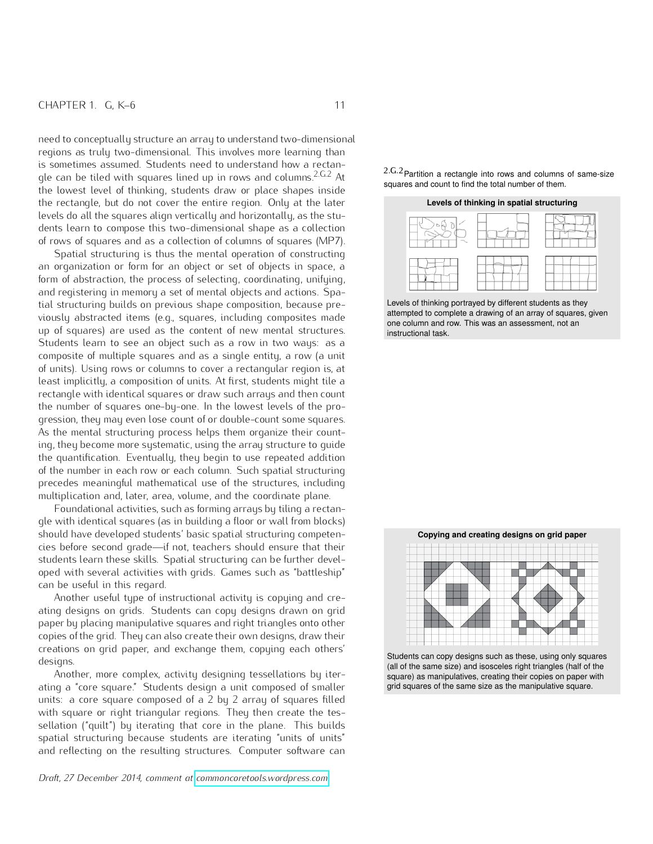need to conceptually structure an array to understand two-dimensional regions as truly two-dimensional. This involves more learning than is sometimes assumed. Students need to understand how a rectangle can be tiled with squares lined up in rows and columns.<sup>2.G.2</sup> At the lowest level of thinking, students draw or place shapes inside the rectangle, but do not cover the entire region. Only at the later levels do all the squares align vertically and horizontally, as the students learn to compose this two-dimensional shape as a collection of rows of squares and as a collection of columns of squares (MP7).

Spatial structuring is thus the mental operation of constructing an organization or form for an object or set of objects in space, a form of abstraction, the process of selecting, coordinating, unifying, and registering in memory a set of mental objects and actions. Spatial structuring builds on previous shape composition, because previously abstracted items (e.g., squares, including composites made up of squares) are used as the content of new mental structures. Students learn to see an object such as a row in two ways: as a composite of multiple squares and as a single entity, a row (a unit of units). Using rows or columns to cover a rectangular region is, at least implicitly, a composition of units. At first, students might tile a rectangle with identical squares or draw such arrays and then count the number of squares one-by-one. In the lowest levels of the progression, they may even lose count of or double-count some squares. As the mental structuring process helps them organize their counting, they become more systematic, using the array structure to guide the quantification. Eventually, they begin to use repeated addition of the number in each row or each column. Such spatial structuring precedes meaningful mathematical use of the structures, including multiplication and, later, area, volume, and the coordinate plane.

Foundational activities, such as forming arrays by tiling a rectangle with identical squares (as in building a floor or wall from blocks) should have developed students' basic spatial structuring competencies before second grade—if not, teachers should ensure that their students learn these skills. Spatial structuring can be further developed with several activities with grids. Games such as "battleship" can be useful in this regard.

Another useful type of instructional activity is copying and creating designs on grids. Students can copy designs drawn on grid paper by placing manipulative squares and right triangles onto other copies of the grid. They can also create their own designs, draw their creations on grid paper, and exchange them, copying each others' designs.

Another, more complex, activity designing tessellations by iterating a "core square." Students design a unit composed of smaller units: a core square composed of a 2 by 2 array of squares filled with square or right triangular regions. They then create the tessellation ("quilt") by iterating that core in the plane. This builds spatial structuring because students are iterating "units of units" and reflecting on the resulting structures. Computer software can

*Draft, 27 December 2014, comment at [commoncoretools.wordpress.com.](commoncoretools.wordpress.com)*

2.G.2Partition a rectangle into rows and columns of same-size squares and count to find the total number of them.





Levels of thinking portrayed by different students as they attempted to complete a drawing of an array of squares, given one column and row. This was an assessment, not an instructional task.



Students can copy designs such as these, using only squares (all of the same size) and isosceles right triangles (half of the square) as manipulatives, creating their copies on paper with grid squares of the same size as the manipulative square.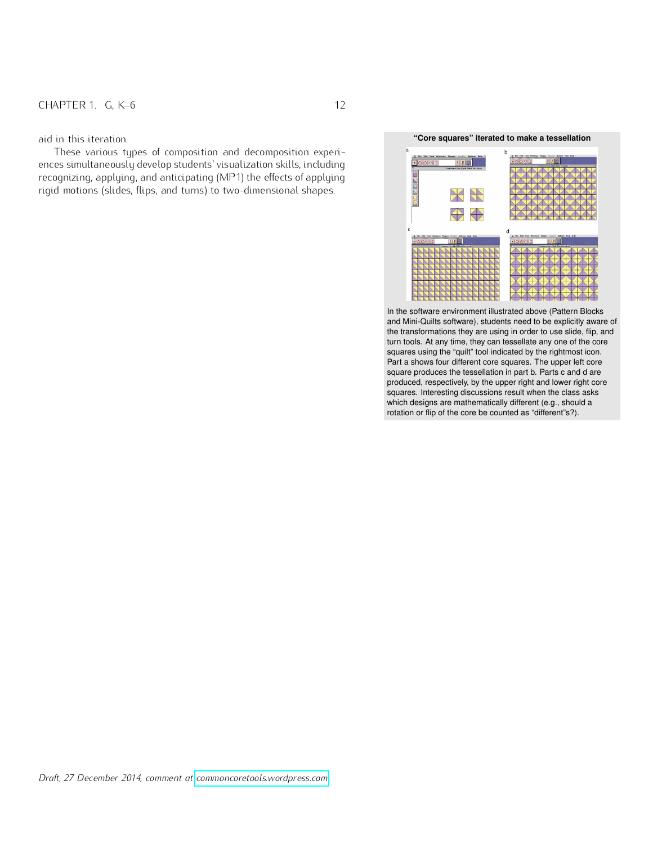These various types of composition and decomposition experiences simultaneously develop students' visualization skills, including recognizing, applying, and anticipating (MP1) the effects of applying rigid motions (slides, flips, and turns) to two-dimensional shapes.

#### aid in this iteration. **"Core squares" iterated to make a tessellation**



In the software environment illustrated above (Pattern Blocks and Mini-Quilts software), students need to be explicitly aware of the transformations they are using in order to use slide, flip, and turn tools. At any time, they can tessellate any one of the core squares using the "quilt" tool indicated by the rightmost icon. Part a shows four different core squares. The upper left core square produces the tessellation in part b. Parts c and d are produced, respectively, by the upper right and lower right core squares. Interesting discussions result when the class asks which designs are mathematically different (e.g., should a rotation or flip of the core be counted as "different"s?).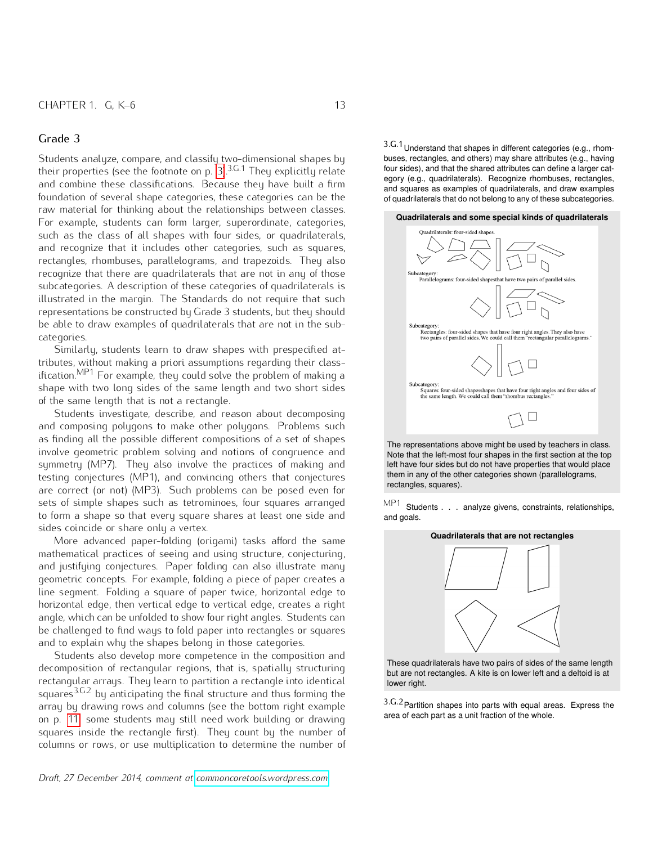Students analyze, compare, and classify two-dimensional shapes by their properties (see the footnote on p. [3\)](#page-1-0).<sup>3.G.1</sup> They explicitly relate and combine these classifications. Because they have built a firm foundation of several shape categories, these categories can be the raw material for thinking about the relationships between classes. For example, students can form larger, superordinate, categories, such as the class of all shapes with four sides, or quadrilaterals, and recognize that it includes other categories, such as squares, rectangles, rhombuses, parallelograms, and trapezoids. They also recognize that there are quadrilaterals that are not in any of those subcategories. A description of these categories of quadrilaterals is illustrated in the margin. The Standards do not require that such representations be constructed by Grade 3 students, but they should be able to draw examples of quadrilaterals that are not in the subcategories.

Similarly, students learn to draw shapes with prespecified attributes, without making a priori assumptions regarding their classification.<sup>MP1</sup> For example, they could solve the problem of making a shape with two long sides of the same length and two short sides of the same length that is not a rectangle.

Students investigate, describe, and reason about decomposing and composing polygons to make other polygons. Problems such as finding all the possible different compositions of a set of shapes involve geometric problem solving and notions of congruence and symmetry (MP7). They also involve the practices of making and testing conjectures (MP1), and convincing others that conjectures are correct (or not) (MP3). Such problems can be posed even for sets of simple shapes such as tetrominoes, four squares arranged to form a shape so that every square shares at least one side and sides coincide or share only a vertex.

More advanced paper-folding (origami) tasks afford the same mathematical practices of seeing and using structure, conjecturing, and justifying conjectures. Paper folding can also illustrate many geometric concepts. For example, folding a piece of paper creates a line segment. Folding a square of paper twice, horizontal edge to horizontal edge, then vertical edge to vertical edge, creates a right angle, which can be unfolded to show four right angles. Students can be challenged to find ways to fold paper into rectangles or squares and to explain why the shapes belong in those categories.

Students also develop more competence in the composition and decomposition of rectangular regions, that is, spatially structuring rectangular arrays. They learn to partition a rectangle into identical squares<sup>3.G.2</sup> by anticipating the final structure and thus forming the array by drawing rows and columns (see the bottom right example on p. [11;](#page-9-0) some students may still need work building or drawing squares inside the rectangle first). They count by the number of columns or rows, or use multiplication to determine the number of 3.G.1Understand that shapes in different categories (e.g., rhombuses, rectangles, and others) may share attributes (e.g., having four sides), and that the shared attributes can define a larger category (e.g., quadrilaterals). Recognize rhombuses, rectangles, and squares as examples of quadrilaterals, and draw examples of quadrilaterals that do not belong to any of these subcategories.

#### **Quadrilaterals and some special kinds of quadrilaterals**



The representations above might be used by teachers in class. Note that the left-most four shapes in the first section at the top left have four sides but do not have properties that would place them in any of the other categories shown (parallelograms, rectangles, squares).

MP1 Students . . . analyze givens, constraints, relationships, and goals.

#### **Quadrilaterals that are not rectangles**



These quadrilaterals have two pairs of sides of the same length but are not rectangles. A kite is on lower left and a deltoid is at lower right.

3.G.2Partition shapes into parts with equal areas. Express the area of each part as a unit fraction of the whole.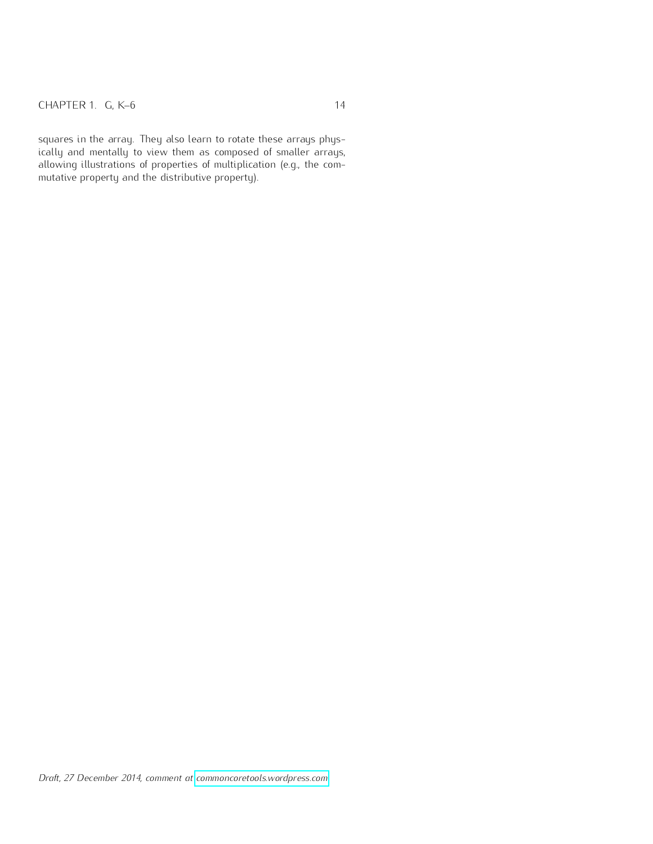squares in the array. They also learn to rotate these arrays physically and mentally to view them as composed of smaller arrays, allowing illustrations of properties of multiplication (e.g., the commutative property and the distributive property).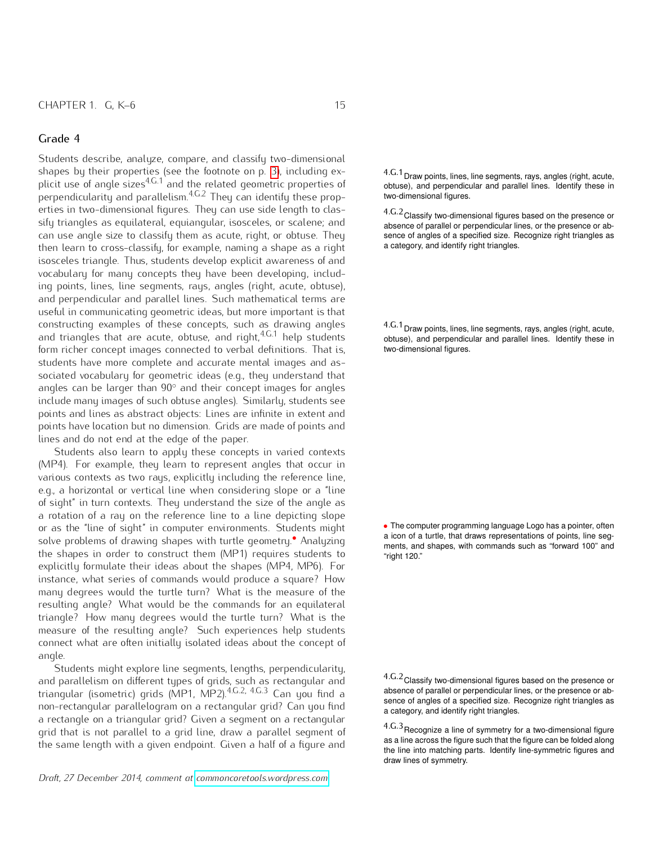Students describe, analyze, compare, and classify two-dimensional shapes by their properties (see the footnote on p. [3\)](#page-1-0), including explicit use of angle sizes<sup>4.G.1</sup> and the related geometric properties of  $\rho$ erpendicularity and parallelism. $^{4,G.2}$  They can identify these prop-  $\qquad$  two-dimensional figures. erties in two-dimensional figures. They can use side length to classify triangles as equilateral, equiangular, isosceles, or scalene; and can use angle size to classify them as acute, right, or obtuse. They then learn to cross-classify, for example, naming a shape as a right isosceles triangle. Thus, students develop explicit awareness of and vocabulary for many concepts they have been developing, including points, lines, line segments, rays, angles (right, acute, obtuse), and perpendicular and parallel lines. Such mathematical terms are useful in communicating geometric ideas, but more important is that constructing examples of these concepts, such as drawing angles and triangles that are acute, obtuse, and right,<sup>4.G.1</sup> help students form richer concept images connected to verbal definitions. That is, students have more complete and accurate mental images and associated vocabulary for geometric ideas (e.g., they understand that angles can be larger than  $90^\circ$  and their concept images for angles include many images of such obtuse angles). Similarly, students see points and lines as abstract objects: Lines are infinite in extent and points have location but no dimension. Grids are made of points and lines and do not end at the edge of the paper.

Students also learn to apply these concepts in varied contexts (MP4). For example, they learn to represent angles that occur in various contexts as two rays, explicitly including the reference line, e.g., a horizontal or vertical line when considering slope or a "line of sight" in turn contexts. They understand the size of the angle as a rotation of a ray on the reference line to a line depicting slope or as the "line of sight" in computer environments. Students might solve problems of drawing shapes with turtle geometry.*•* Analyzing the shapes in order to construct them (MP1) requires students to explicitly formulate their ideas about the shapes (MP4, MP6). For instance, what series of commands would produce a square? How many degrees would the turtle turn? What is the measure of the resulting angle? What would be the commands for an equilateral triangle? How many degrees would the turtle turn? What is the measure of the resulting angle? Such experiences help students connect what are often initially isolated ideas about the concept of angle.

Students might explore line segments, lengths, perpendicularity, and parallelism on different types of grids, such as rectangular and triangular (isometric) grids (MP1, MP2).4.G.2, 4.G.3 Can you find a non-rectangular parallelogram on a rectangular grid? Can you find a rectangle on a triangular grid? Given a segment on a rectangular grid that is not parallel to a grid line, draw a parallel segment of the same length with a given endpoint. Given a half of a figure and

*Draft, 27 December 2014, comment at [commoncoretools.wordpress.com.](commoncoretools.wordpress.com)*

4.G.1Draw points, lines, line segments, rays, angles (right, acute, obtuse), and perpendicular and parallel lines. Identify these in

4.G.2Classify two-dimensional figures based on the presence or absence of parallel or perpendicular lines, or the presence or absence of angles of a specified size. Recognize right triangles as a category, and identify right triangles.

4.G.1Draw points, lines, line segments, rays, angles (right, acute, obtuse), and perpendicular and parallel lines. Identify these in

*•* The computer programming language Logo has a pointer, often a icon of a turtle, that draws representations of points, line segments, and shapes, with commands such as "forward 100" and

4.G.2Classify two-dimensional figures based on the presence or absence of parallel or perpendicular lines, or the presence or absence of angles of a specified size. Recognize right triangles as a category, and identify right triangles.

4.G.3Recognize a line of symmetry for a two-dimensional figure as a line across the figure such that the figure can be folded along the line into matching parts. Identify line-symmetric figures and draw lines of symmetry.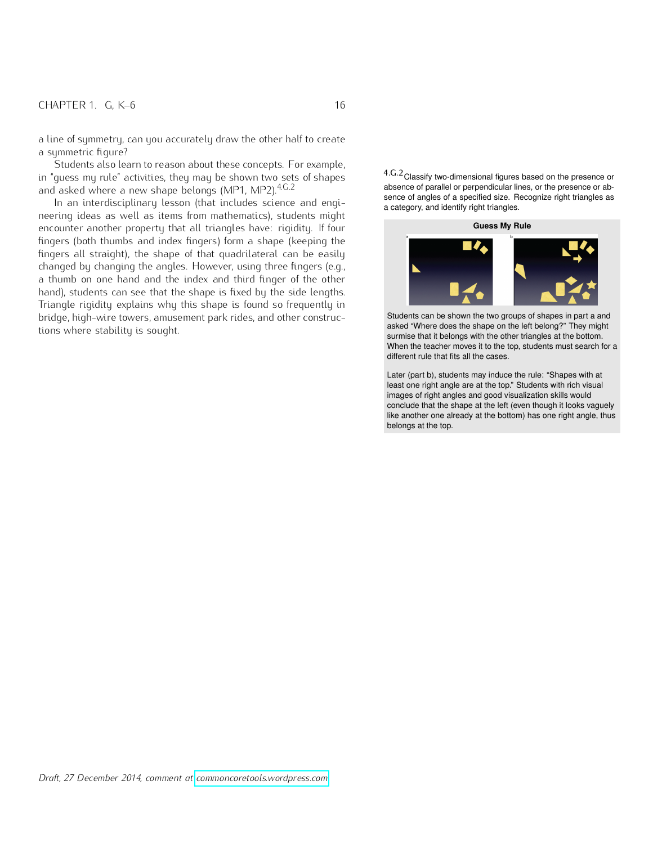a line of symmetry, can you accurately draw the other half to create a symmetric figure?

Students also learn to reason about these concepts. For example, in "guess my rule" activities, they may be shown two sets of shapes and asked where a new shape belongs (MP1, MP2).<sup>4.G.2</sup>

In an interdisciplinary lesson (that includes science and engineering ideas as well as items from mathematics), students might encounter another property that all triangles have: rigidity. If four fingers (both thumbs and index fingers) form a shape (keeping the fingers all straight), the shape of that quadrilateral can be easily changed by changing the angles. However, using three fingers (e.g., a thumb on one hand and the index and third finger of the other hand), students can see that the shape is fixed by the side lengths. Triangle rigidity explains why this shape is found so frequently in bridge, high-wire towers, amusement park rides, and other constructions where stability is sought.

4.G.2Classify two-dimensional figures based on the presence or absence of parallel or perpendicular lines, or the presence or absence of angles of a specified size. Recognize right triangles as a category, and identify right triangles.



Students can be shown the two groups of shapes in part a and asked "Where does the shape on the left belong?" They might surmise that it belongs with the other triangles at the bottom. When the teacher moves it to the top, students must search for a different rule that fits all the cases.

Later (part b), students may induce the rule: "Shapes with at least one right angle are at the top." Students with rich visual images of right angles and good visualization skills would conclude that the shape at the left (even though it looks vaguely like another one already at the bottom) has one right angle, thus belongs at the top.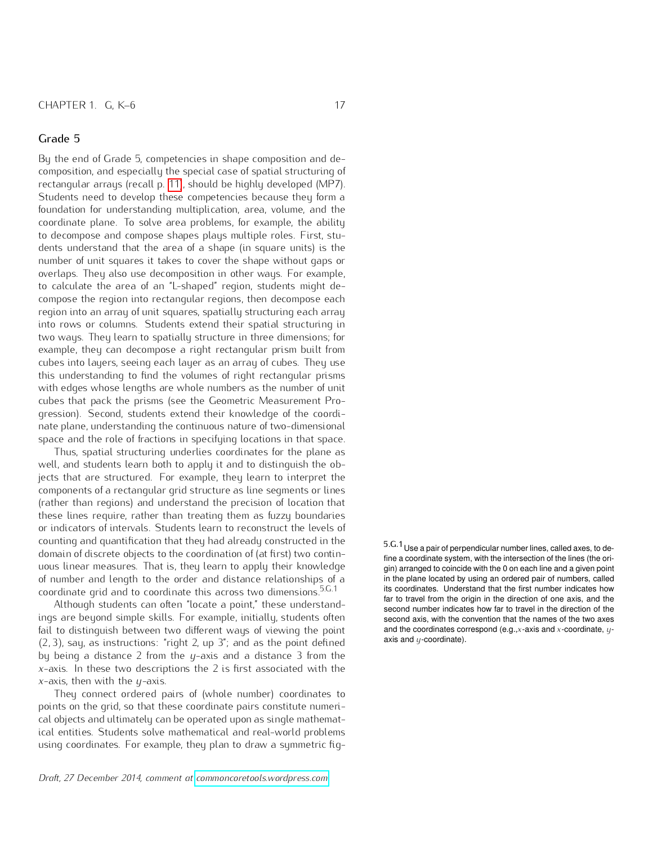By the end of Grade 5, competencies in shape composition and decomposition, and especially the special case of spatial structuring of rectangular arrays (recall p. [11\)](#page-9-0), should be highly developed (MP7). Students need to develop these competencies because they form a foundation for understanding multiplication, area, volume, and the coordinate plane. To solve area problems, for example, the ability to decompose and compose shapes plays multiple roles. First, students understand that the area of a shape (in square units) is the number of unit squares it takes to cover the shape without gaps or overlaps. They also use decomposition in other ways. For example, to calculate the area of an "L-shaped" region, students might decompose the region into rectangular regions, then decompose each region into an array of unit squares, spatially structuring each array into rows or columns. Students extend their spatial structuring in two ways. They learn to spatially structure in three dimensions; for example, they can decompose a right rectangular prism built from cubes into layers, seeing each layer as an array of cubes. They use this understanding to find the volumes of right rectangular prisms with edges whose lengths are whole numbers as the number of unit cubes that pack the prisms (see the Geometric Measurement Progression). Second, students extend their knowledge of the coordinate plane, understanding the continuous nature of two-dimensional space and the role of fractions in specifying locations in that space.

Thus, spatial structuring underlies coordinates for the plane as well, and students learn both to apply it and to distinguish the objects that are structured. For example, they learn to interpret the components of a rectangular grid structure as line segments or lines (rather than regions) and understand the precision of location that these lines require, rather than treating them as fuzzy boundaries or indicators of intervals. Students learn to reconstruct the levels of counting and quantification that they had already constructed in the domain of discrete objects to the coordination of (at first) two continuous linear measures. That is, they learn to apply their knowledge of number and length to the order and distance relationships of a coordinate grid and to coordinate this across two dimensions.<sup>5.G.1</sup>

Although students can often "locate a point," these understandings are beyond simple skills. For example, initially, students often fail to distinguish between two different ways of viewing the point p2*,* 3q, say, as instructions: "right 2, up 3"; and as the point defined by being a distance 2 from the *y*-axis and a distance 3 from the *x*-axis. In these two descriptions the 2 is first associated with the *x*-axis, then with the *y*-axis.

They connect ordered pairs of (whole number) coordinates to points on the grid, so that these coordinate pairs constitute numerical objects and ultimately can be operated upon as single mathematical entities. Students solve mathematical and real-world problems using coordinates. For example, they plan to draw a symmetric fig5.G.1Use a pair of perpendicular number lines, called axes, to define a coordinate system, with the intersection of the lines (the origin) arranged to coincide with the 0 on each line and a given point in the plane located by using an ordered pair of numbers, called its coordinates. Understand that the first number indicates how far to travel from the origin in the direction of one axis, and the second number indicates how far to travel in the direction of the second axis, with the convention that the names of the two axes and the coordinates correspond (e.g.,*x*-axis and *x*-coordinate, *y*axis and *y*-coordinate).

*Draft, 27 December 2014, comment at [commoncoretools.wordpress.com.](commoncoretools.wordpress.com)*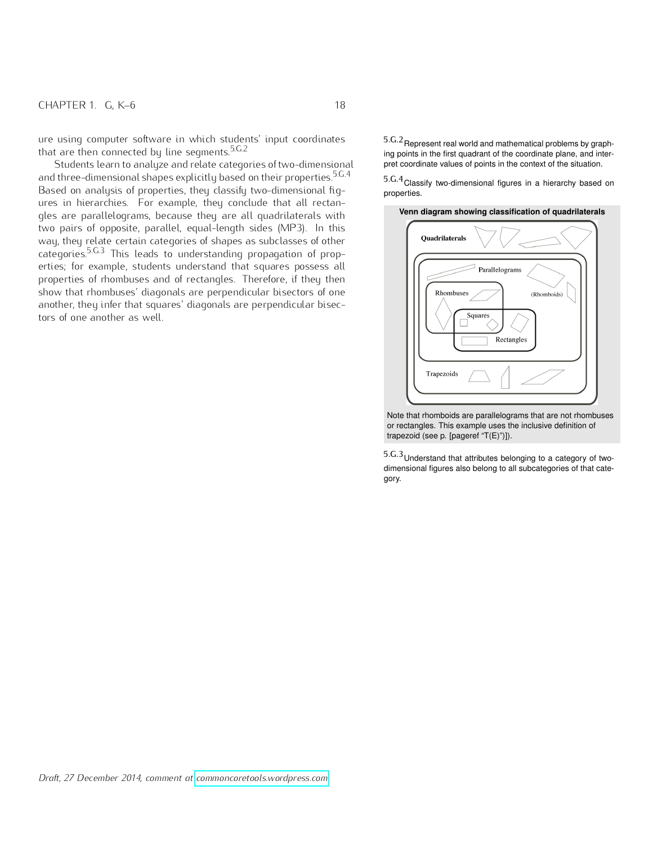ure using computer software in which students' input coordinates that are then connected by line segments.5.G.2

Students learn to analyze and relate categories of two-dimensional pret coordinate values of points in the context of the situation. and three-dimensional shapes explicitly based on their properties.<sup>5.G.4</sup> 5.G.4 Classify two-dimensional figures in a hierarchy based on Based on analysis of properties, they classify two-dimensional figures in hierarchies. For example, they conclude that all rectangles are parallelograms, because they are all quadrilaterals with two pairs of opposite, parallel, equal-length sides (MP3). In this way, they relate certain categories of shapes as subclasses of other categories.5.G.3 This leads to understanding propagation of properties; for example, students understand that squares possess all properties of rhombuses and of rectangles. Therefore, if they then show that rhombuses' diagonals are perpendicular bisectors of one another, they infer that squares' diagonals are perpendicular bisectors of one another as well.

 $5.\mathrm{G}.2$ Represent real world and mathematical problems by graphing points in the first quadrant of the coordinate plane, and inter-

properties.

#### **Venn diagram showing classification of quadrilaterals**



Note that rhomboids are parallelograms that are not rhombuses or rectangles. This example uses the inclusive definition of trapezoid (see p. [pageref "T(E)")]).

5.G.3Understand that attributes belonging to a category of twodimensional figures also belong to all subcategories of that category.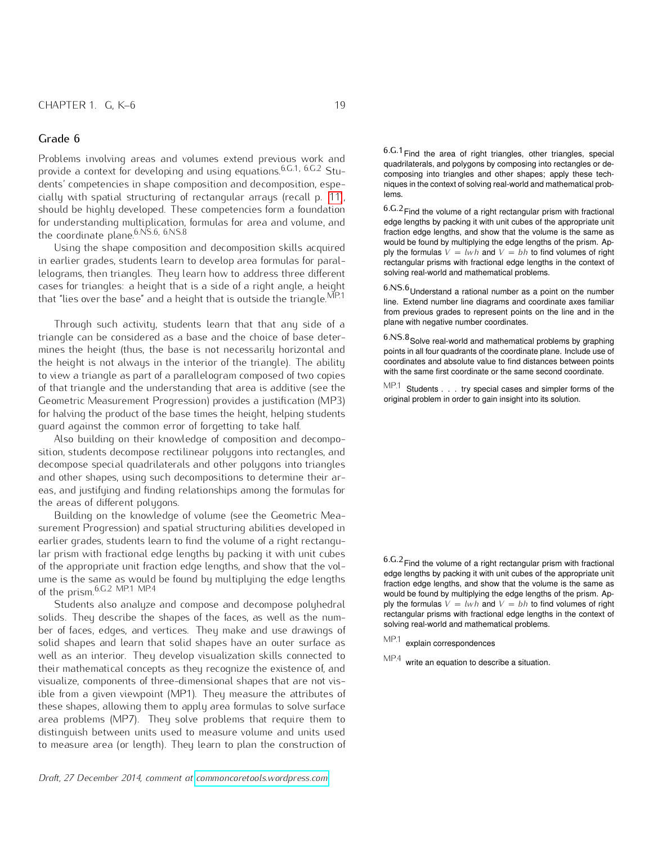Problems involving areas and volumes extend previous work and provide a context for developing and using equations.6.G.1, 6.G.2 Students' competencies in shape composition and decomposition, especially with spatial structuring of rectangular arrays (recall p. [11\)](#page-9-0), should be highly developed. These competencies form a foundation for understanding multiplication, formulas for area and volume, and the coordinate plane.<sup>6.NS.6, 6.NS.8</sup>

Using the shape composition and decomposition skills acquired in earlier grades, students learn to develop area formulas for parallelograms, then triangles. They learn how to address three different cases for triangles: a height that is a side of a right angle, a height that "lies over the base" and a height that is outside the triangle. $MP.1$ 

Through such activity, students learn that that any side of a triangle can be considered as a base and the choice of base determines the height (thus, the base is not necessarily horizontal and the height is not always in the interior of the triangle). The ability to view a triangle as part of a parallelogram composed of two copies of that triangle and the understanding that area is additive (see the Geometric Measurement Progression) provides a justification (MP3) for halving the product of the base times the height, helping students guard against the common error of forgetting to take half.

Also building on their knowledge of composition and decomposition, students decompose rectilinear polygons into rectangles, and decompose special quadrilaterals and other polygons into triangles and other shapes, using such decompositions to determine their areas, and justifying and finding relationships among the formulas for the areas of different polygons.

Building on the knowledge of volume (see the Geometric Measurement Progression) and spatial structuring abilities developed in earlier grades, students learn to find the volume of a right rectangular prism with fractional edge lengths by packing it with unit cubes of the appropriate unit fraction edge lengths, and show that the volume is the same as would be found by multiplying the edge lengths of the prism.6.G.2 MP.1 MP.4

Students also analyze and compose and decompose polyhedral solids. They describe the shapes of the faces, as well as the number of faces, edges, and vertices. They make and use drawings of solid shapes and learn that solid shapes have an outer surface as well as an interior. They develop visualization skills connected to their mathematical concepts as they recognize the existence of, and visualize, components of three-dimensional shapes that are not visible from a given viewpoint (MP1). They measure the attributes of these shapes, allowing them to apply area formulas to solve surface area problems (MP7). They solve problems that require them to distinguish between units used to measure volume and units used to measure area (or length). They learn to plan the construction of  $6.6.1$  Find the area of right triangles, other triangles, special quadrilaterals, and polygons by composing into rectangles or decomposing into triangles and other shapes; apply these techniques in the context of solving real-world and mathematical problems.

6.G.2Find the volume of a right rectangular prism with fractional edge lengths by packing it with unit cubes of the appropriate unit fraction edge lengths, and show that the volume is the same as would be found by multiplying the edge lengths of the prism. Apply the formulas  $V = lwh$  and  $V = bh$  to find volumes of right rectangular prisms with fractional edge lengths in the context of solving real-world and mathematical problems.

 $6.NS.6$  Understand a rational number as a point on the number line. Extend number line diagrams and coordinate axes familiar from previous grades to represent points on the line and in the plane with negative number coordinates.

 $6.NS.8$  Solve real-world and mathematical problems by graphing points in all four quadrants of the coordinate plane. Include use of coordinates and absolute value to find distances between points with the same first coordinate or the same second coordinate.

MP.1 Students . . . try special cases and simpler forms of the original problem in order to gain insight into its solution.

6.G.2Find the volume of a right rectangular prism with fractional edge lengths by packing it with unit cubes of the appropriate unit fraction edge lengths, and show that the volume is the same as would be found by multiplying the edge lengths of the prism. Apply the formulas  $V = lwh$  and  $V = bh$  to find volumes of right rectangular prisms with fractional edge lengths in the context of solving real-world and mathematical problems.

MP.1 explain correspondences

MP.4 write an equation to describe a situation.

*Draft, 27 December 2014, comment at [commoncoretools.wordpress.com.](commoncoretools.wordpress.com)*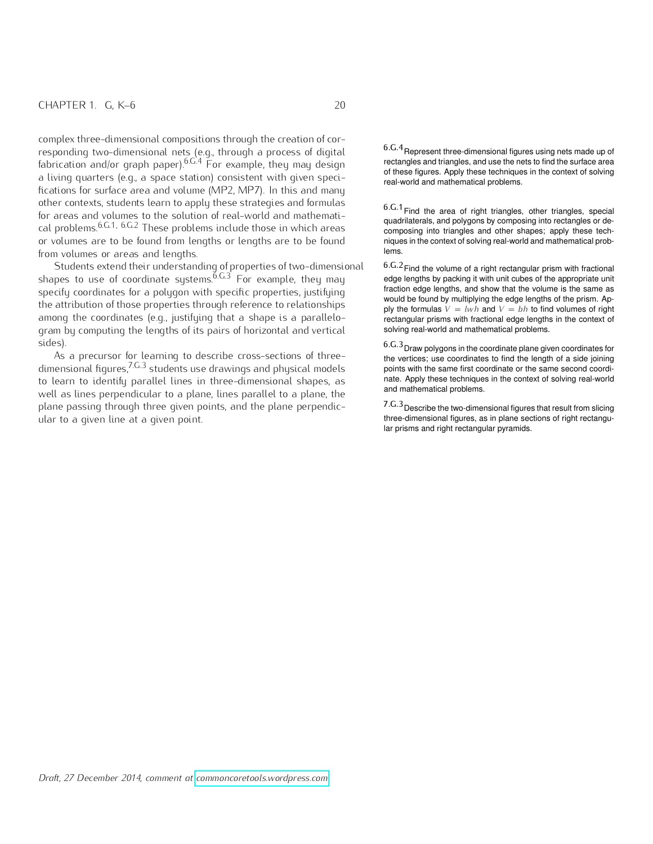complex three-dimensional compositions through the creation of corresponding two-dimensional nets (e.g., through a process of digital fabrication and/or graph paper).  $6.6.4$  For example, they may design a living quarters (e.g., a space station) consistent with given speci-<br>real-world and mathematical problems. fications for surface area and volume (MP2, MP7). In this and many other contexts, students learn to apply these strategies and formulas for areas and volumes to the solution of real-world and mathematical problems.<sup>6.G.1, 6.G.2</sup> These problems include those in which areas or volumes are to be found from lengths or lengths are to be found from volumes or areas and lengths.

Students extend their understanding of properties of two-dimensional shapes to use of coordinate systems. $^{\tilde{6},\tilde{G},\tilde{3}}$  For example, they may specify coordinates for a polygon with specific properties, justifying the attribution of those properties through reference to relationships among the coordinates (e.g., justifying that a shape is a parallelogram by computing the lengths of its pairs of horizontal and vertical sides).

As a precursor for learning to describe cross-sections of threedimensional figures,7.G.3 students use drawings and physical models to learn to identify parallel lines in three-dimensional shapes, as well as lines perpendicular to a plane, lines parallel to a plane, the plane passing through three given points, and the plane perpendicular to a given line at a given point.

6.G.4Represent three-dimensional figures using nets made up of rectangles and triangles, and use the nets to find the surface area of these figures. Apply these techniques in the context of solving

 $6.6.1$  Find the area of right triangles, other triangles, special quadrilaterals, and polygons by composing into rectangles or decomposing into triangles and other shapes; apply these techniques in the context of solving real-world and mathematical problems.

6.G.2Find the volume of a right rectangular prism with fractional edge lengths by packing it with unit cubes of the appropriate unit fraction edge lengths, and show that the volume is the same as would be found by multiplying the edge lengths of the prism. Apply the formulas  $V = lwh$  and  $V = bh$  to find volumes of right rectangular prisms with fractional edge lengths in the context of solving real-world and mathematical problems.

6.G.3Draw polygons in the coordinate plane given coordinates for the vertices; use coordinates to find the length of a side joining points with the same first coordinate or the same second coordinate. Apply these techniques in the context of solving real-world and mathematical problems.

7.G.3Describe the two-dimensional figures that result from slicing three-dimensional figures, as in plane sections of right rectangular prisms and right rectangular pyramids.